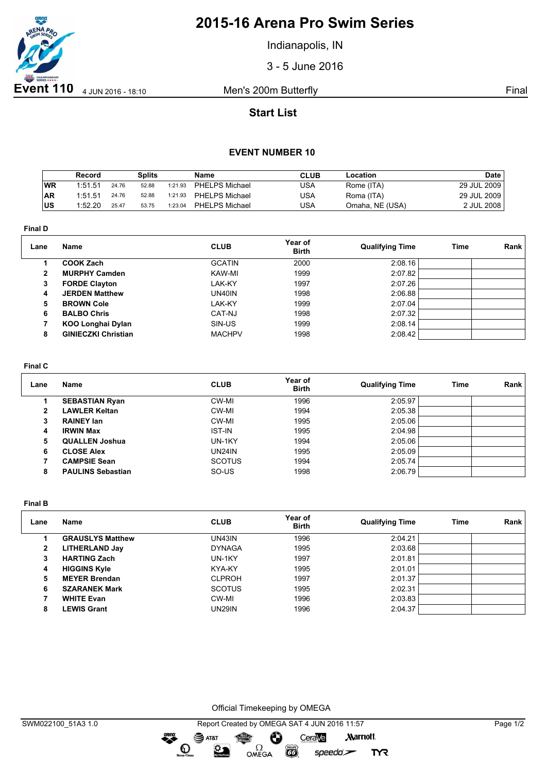

# **2015-16 Arena Pro Swim Series**

Indianapolis, IN

3 - 5 June 2016

## **Start List**

### **EVENT NUMBER 10**

|     | Record  |       | Splits |         | <b>Name</b>    | <b>CLUB</b> | Location        | Date        |
|-----|---------|-------|--------|---------|----------------|-------------|-----------------|-------------|
| WR  | 1:51.51 | 24.76 | 52.88  | 1:21.93 | PHELPS Michael | USA         | Rome (ITA)      | 29 JUL 2009 |
| AR  | 1:51.51 | 24.76 | 52.88  | 1:21.93 | PHELPS Michael | USA         | Roma (ITA)      | 29 JUL 2009 |
| lus | 1:52.20 | 25.47 | 53.75  | 1:23.04 | PHELPS Michael | USA         | Omaha, NE (USA) | 2 JUL 2008  |

**Final D**

| Lane         | Name                       | <b>CLUB</b>   | Year of<br><b>Birth</b> | <b>Qualifying Time</b> | Time | Rank |
|--------------|----------------------------|---------------|-------------------------|------------------------|------|------|
|              | <b>COOK Zach</b>           | <b>GCATIN</b> | 2000                    | 2:08.16                |      |      |
| $\mathbf{2}$ | <b>MURPHY Camden</b>       | KAW-MI        | 1999                    | 2:07.82                |      |      |
| 3            | <b>FORDE Clayton</b>       | LAK-KY        | 1997                    | 2:07.26                |      |      |
| 4            | <b>JERDEN Matthew</b>      | UN40IN        | 1998                    | 2:06.88                |      |      |
| 5            | <b>BROWN Cole</b>          | LAK-KY        | 1999                    | 2:07.04                |      |      |
| 6            | <b>BALBO Chris</b>         | CAT-NJ        | 1998                    | 2:07.32                |      |      |
|              | <b>KOO Longhai Dylan</b>   | SIN-US        | 1999                    | 2:08.14                |      |      |
| 8            | <b>GINIECZKI Christian</b> | <b>MACHPV</b> | 1998                    | 2:08.42                |      |      |

#### **Final C**

| Lane | Name                     | <b>CLUB</b>   | Year of<br><b>Birth</b> | <b>Qualifying Time</b> | Time | Rank |
|------|--------------------------|---------------|-------------------------|------------------------|------|------|
|      | <b>SEBASTIAN Ryan</b>    | CW-MI         | 1996                    | 2:05.97                |      |      |
| 2    | <b>LAWLER Keltan</b>     | CW-MI         | 1994                    | 2:05.38                |      |      |
| з    | <b>RAINEY Ian</b>        | CW-MI         | 1995                    | 2:05.06                |      |      |
| 4    | <b>IRWIN Max</b>         | <b>IST-IN</b> | 1995                    | 2:04.98                |      |      |
| 5.   | <b>QUALLEN Joshua</b>    | UN-1KY        | 1994                    | 2:05.06                |      |      |
| 6    | <b>CLOSE Alex</b>        | UN24IN        | 1995                    | 2:05.09                |      |      |
|      | <b>CAMPSIE Sean</b>      | <b>SCOTUS</b> | 1994                    | 2:05.74                |      |      |
| 8    | <b>PAULINS Sebastian</b> | SO-US         | 1998                    | 2:06.79                |      |      |

**Final B**

| Lane | Name                    | <b>CLUB</b>   | Year of<br><b>Birth</b> | <b>Qualifying Time</b> | Time | Rank |
|------|-------------------------|---------------|-------------------------|------------------------|------|------|
|      | <b>GRAUSLYS Matthew</b> | UN43IN        | 1996                    | 2:04.21                |      |      |
| 2    | <b>LITHERLAND Jay</b>   | <b>DYNAGA</b> | 1995                    | 2:03.68                |      |      |
| 3    | <b>HARTING Zach</b>     | UN-1KY        | 1997                    | 2:01.81                |      |      |
| 4    | <b>HIGGINS Kyle</b>     | KYA-KY        | 1995                    | 2:01.01                |      |      |
| 5    | <b>MEYER Brendan</b>    | <b>CLPROH</b> | 1997                    | 2:01.37                |      |      |
| 6    | <b>SZARANEK Mark</b>    | <b>SCOTUS</b> | 1995                    | 2:02.31                |      |      |
|      | <b>WHITE Evan</b>       | CW-MI         | 1996                    | 2:03.83                |      |      |
| 8    | <b>LEWIS Grant</b>      | UN29IN        | 1996                    | 2:04.37                |      |      |

Official Timekeeping by OMEGA

**EXAMPLE** 

 $speedo$ 

**TYR** 

greng: